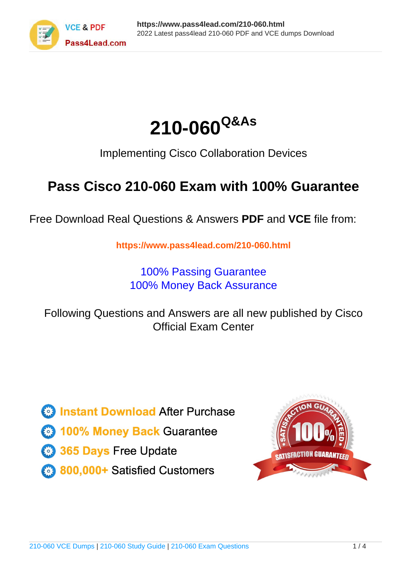



Implementing Cisco Collaboration Devices

# **Pass Cisco 210-060 Exam with 100% Guarantee**

Free Download Real Questions & Answers **PDF** and **VCE** file from:

**https://www.pass4lead.com/210-060.html**

100% Passing Guarantee 100% Money Back Assurance

Following Questions and Answers are all new published by Cisco Official Exam Center

**C** Instant Download After Purchase

**83 100% Money Back Guarantee** 

- 365 Days Free Update
- 800,000+ Satisfied Customers

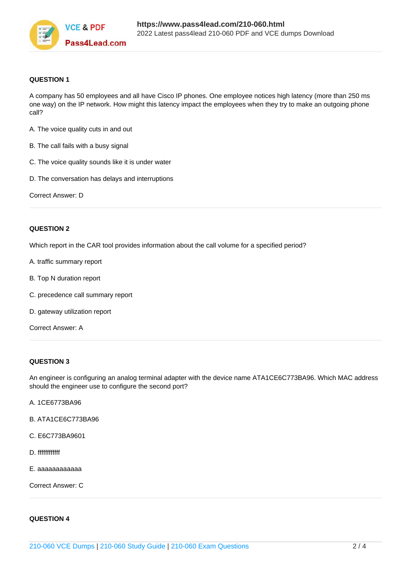

### **QUESTION 1**

A company has 50 employees and all have Cisco IP phones. One employee notices high latency (more than 250 ms one way) on the IP network. How might this latency impact the employees when they try to make an outgoing phone call?

- A. The voice quality cuts in and out
- B. The call fails with a busy signal
- C. The voice quality sounds like it is under water
- D. The conversation has delays and interruptions

Correct Answer: D

### **QUESTION 2**

Which report in the CAR tool provides information about the call volume for a specified period?

- A. traffic summary report
- B. Top N duration report
- C. precedence call summary report
- D. gateway utilization report

Correct Answer: A

### **QUESTION 3**

An engineer is configuring an analog terminal adapter with the device name ATA1CE6C773BA96. Which MAC address should the engineer use to configure the second port?

- A. 1CE6773BA96
- B. ATA1CE6C773BA96
- C. E6C773BA9601
- D. ffffffffffff
- E. aaaaaaaaaaaa

Correct Answer: C

### **QUESTION 4**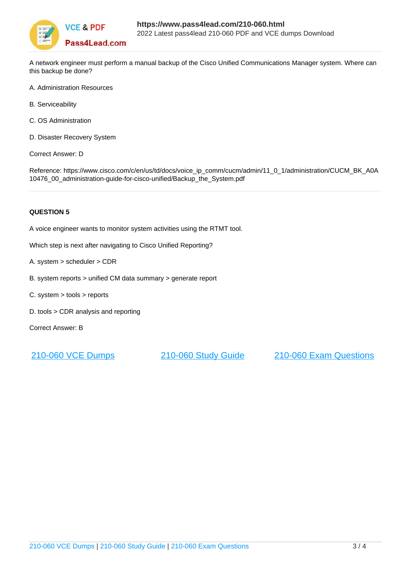

A network engineer must perform a manual backup of the Cisco Unified Communications Manager system. Where can this backup be done?

- A. Administration Resources
- B. Serviceability
- C. OS Administration
- D. Disaster Recovery System

Correct Answer: D

Reference: https://www.cisco.com/c/en/us/td/docs/voice\_ip\_comm/cucm/admin/11\_0\_1/administration/CUCM\_BK\_A0A 10476\_00\_administration-guide-for-cisco-unified/Backup\_the\_System.pdf

### **QUESTION 5**

A voice engineer wants to monitor system activities using the RTMT tool.

Which step is next after navigating to Cisco Unified Reporting?

- A. system > scheduler > CDR
- B. system reports > unified CM data summary > generate report
- C. system > tools > reports
- D. tools > CDR analysis and reporting

Correct Answer: B

[210-060 VCE Dumps](https://www.pass4lead.com/210-060.html) [210-060 Study Guide](https://www.pass4lead.com/210-060.html) [210-060 Exam Questions](https://www.pass4lead.com/210-060.html)